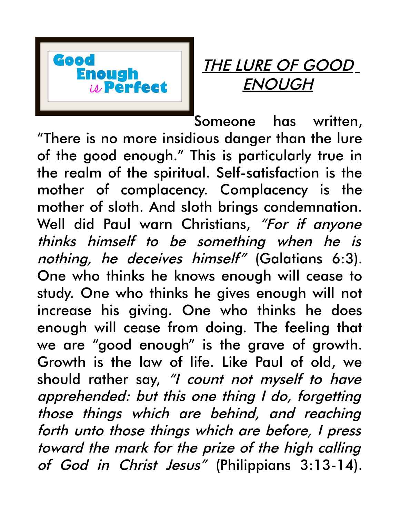

## THE LURE OF GOOD ENOUGH

Someone has written, "There is no more insidious danger than the lure of the good enough." This is particularly true in the realm of the spiritual. Self-satisfaction is the mother of complacency. Complacency is the mother of sloth. And sloth brings condemnation. Well did Paul warn Christians, "For if anyone thinks himself to be something when he is nothing, he deceives himself" (Galatians 6:3). One who thinks he knows enough will cease to study. One who thinks he gives enough will not increase his giving. One who thinks he does enough will cease from doing. The feeling that we are "good enough" is the grave of growth. Growth is the law of life. Like Paul of old, we should rather say, "I count not myself to have apprehended: but this one thing I do, forgetting those things which are behind, and reaching forth unto those things which are before, I press toward the mark for the prize of the high calling of God in Christ Jesus" (Philippians 3:13-14).